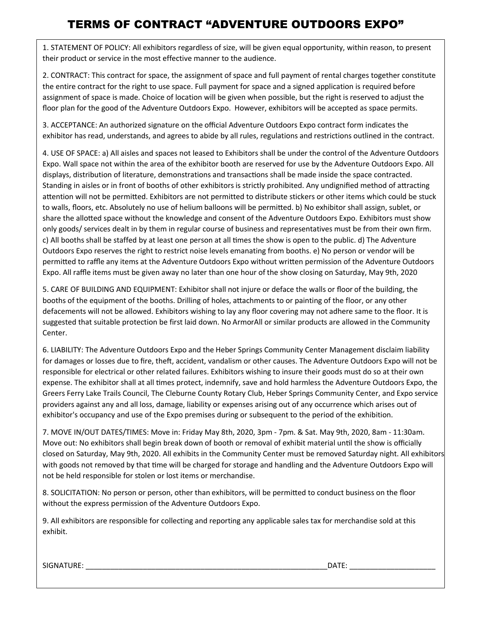## **TERMS OF CONTRACT "ADVENTURE OUTDOORS EXPO"**

1. STATEMENT OF POLICY: All exhibitors regardless of size, will be given equal opportunity, within reason, to present their product or service in the most effective manner to the audience.

2. CONTRACT: This contract for space, the assignment of space and full payment of rental charges together constitute the entire contract for the right to use space. Full payment for space and a signed application is required before assignment of space is made. Choice of location will be given when possible, but the right is reserved to adjust the floor plan for the good of the Adventure Outdoors Expo. However, exhibitors will be accepted as space permits.

3. ACCEPTANCE: An authorized signature on the official Adventure Outdoors Expo contract form indicates the exhibitor has read, understands, and agrees to abide by all rules, regulations and restrictions outlined in the contract.

4. USE OF SPACE: a) All aisles and spaces not leased to Exhibitors shall be under the control of the Adventure Outdoors Expo. Wall space not within the area of the exhibitor booth are reserved for use by the Adventure Outdoors Expo. All displays, distribution of literature, demonstrations and transactions shall be made inside the space contracted. Standing in aisles or in front of booths of other exhibitors is strictly prohibited. Any undignified method of a�racting attention will not be permitted. Exhibitors are not permitted to distribute stickers or other items which could be stuck to walls, floors, etc. Absolutely no use of helium balloons will be permi�ed. b) No exhibitor shall assign, sublet, or share the allotted space without the knowledge and consent of the Adventure Outdoors Expo. Exhibitors must show only goods/ services dealt in by them in regular course of business and representatives must be from their own firm. c) All booths shall be staffed by at least one person at all times the show is open to the public. d) The Adventure Outdoors Expo reserves the right to restrict noise levels emanating from booths. e) No person or vendor will be permitted to raffle any items at the Adventure Outdoors Expo without written permission of the Adventure Outdoors Expo. All raffle items must be given away no later than one hour of the show closing on Saturday, May 9th, 2020

5. CARE OF BUILDING AND EQUIPMENT: Exhibitor shall not injure or deface the walls or floor of the building, the booths of the equipment of the booths. Drilling of holes, attachments to or painting of the floor, or any other defacements will not be allowed. Exhibitors wishing to lay any floor covering may not adhere same to the floor. It is suggested that suitable protection be first laid down. No ArmorAll or similar products are allowed in the Community Center.

6. LIABILITY: The Adventure Outdoors Expo and the Heber Springs Community Center Management disclaim liability for damages or losses due to fire, theft, accident, vandalism or other causes. The Adventure Outdoors Expo will not be responsible for electrical or other related failures. Exhibitors wishing to insure their goods must do so at their own expense. The exhibitor shall at all times protect, indemnify, save and hold harmless the Adventure Outdoors Expo, the Greers Ferry Lake Trails Council, The Cleburne County Rotary Club, Heber Springs Community Center, and Expo service providers against any and all loss, damage, liability or expenses arising out of any occurrence which arises out of exhibitor's occupancy and use of the Expo premises during or subsequent to the period of the exhibition.

7. MOVE IN/OUT DATES/TIMES: Move in: Friday May 8th, 2020, 3pm - 7pm. & Sat. May 9th, 2020, 8am - 11:30am. Move out: No exhibitors shall begin break down of booth or removal of exhibit material until the show is officially closed on Saturday, May 9th, 2020. All exhibits in the Community Center must be removed Saturday night. All exhibitors with goods not removed by that time will be charged for storage and handling and the Adventure Outdoors Expo will not be held responsible for stolen or lost items or merchandise.

8. SOLICITATION: No person or person, other than exhibitors, will be permitted to conduct business on the floor without the express permission of the Adventure Outdoors Expo.

9. All exhibitors are responsible for collecting and reporting any applicable sales tax for merchandise sold at this exhibit.

 ${\sf SIGNATURE:}\color{red}$